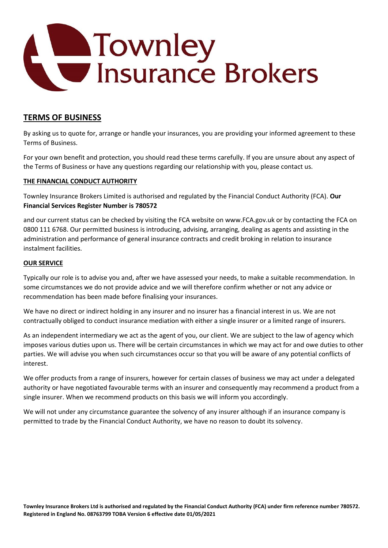

# **TERMS OF BUSINESS**

By asking us to quote for, arrange or handle your insurances, you are providing your informed agreement to these Terms of Business.

For your own benefit and protection, you should read these terms carefully. If you are unsure about any aspect of the Terms of Business or have any questions regarding our relationship with you, please contact us.

## **THE FINANCIAL CONDUCT AUTHORITY**

Townley Insurance Brokers Limited is authorised and regulated by the Financial Conduct Authority (FCA). **Our Financial Services Register Number is 780572**

and our current status can be checked by visiting the FCA website on www.FCA.gov.uk or by contacting the FCA on 0800 111 6768. Our permitted business is introducing, advising, arranging, dealing as agents and assisting in the administration and performance of general insurance contracts and credit broking in relation to insurance instalment facilities.

#### **OUR SERVICE**

Typically our role is to advise you and, after we have assessed your needs, to make a suitable recommendation. In some circumstances we do not provide advice and we will therefore confirm whether or not any advice or recommendation has been made before finalising your insurances.

We have no direct or indirect holding in any insurer and no insurer has a financial interest in us. We are not contractually obliged to conduct insurance mediation with either a single insurer or a limited range of insurers.

As an independent intermediary we act as the agent of you, our client. We are subject to the law of agency which imposes various duties upon us. There will be certain circumstances in which we may act for and owe duties to other parties. We will advise you when such circumstances occur so that you will be aware of any potential conflicts of interest.

We offer products from a range of insurers, however for certain classes of business we may act under a delegated authority or have negotiated favourable terms with an insurer and consequently may recommend a product from a single insurer. When we recommend products on this basis we will inform you accordingly.

We will not under any circumstance guarantee the solvency of any insurer although if an insurance company is permitted to trade by the Financial Conduct Authority, we have no reason to doubt its solvency.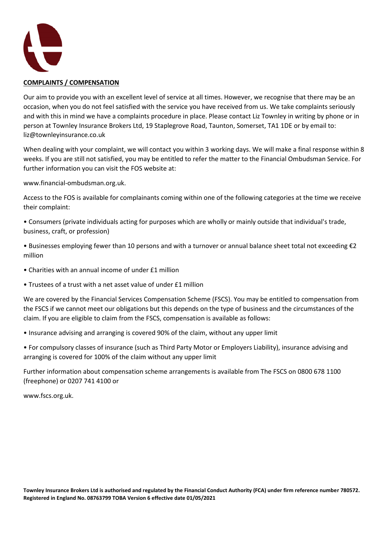

## **COMPLAINTS / COMPENSATION**

Our aim to provide you with an excellent level of service at all times. However, we recognise that there may be an occasion, when you do not feel satisfied with the service you have received from us. We take complaints seriously and with this in mind we have a complaints procedure in place. Please contact Liz Townley in writing by phone or in person at Townley Insurance Brokers Ltd, 19 Staplegrove Road, Taunton, Somerset, TA1 1DE or by email to: liz@townleyinsurance.co.uk

When dealing with your complaint, we will contact you within 3 working days. We will make a final response within 8 weeks. If you are still not satisfied, you may be entitled to refer the matter to the Financial Ombudsman Service. For further information you can visit the FOS website at:

www.financial-ombudsman.org.uk.

Access to the FOS is available for complainants coming within one of the following categories at the time we receive their complaint:

• Consumers (private individuals acting for purposes which are wholly or mainly outside that individual's trade, business, craft, or profession)

• Businesses employing fewer than 10 persons and with a turnover or annual balance sheet total not exceeding €2 million

- Charities with an annual income of under £1 million
- Trustees of a trust with a net asset value of under £1 million

We are covered by the Financial Services Compensation Scheme (FSCS). You may be entitled to compensation from the FSCS if we cannot meet our obligations but this depends on the type of business and the circumstances of the claim. If you are eligible to claim from the FSCS, compensation is available as follows:

- Insurance advising and arranging is covered 90% of the claim, without any upper limit
- For compulsory classes of insurance (such as Third Party Motor or Employers Liability), insurance advising and arranging is covered for 100% of the claim without any upper limit

Further information about compensation scheme arrangements is available from The FSCS on 0800 678 1100 (freephone) or 0207 741 4100 or

www.fscs.org.uk.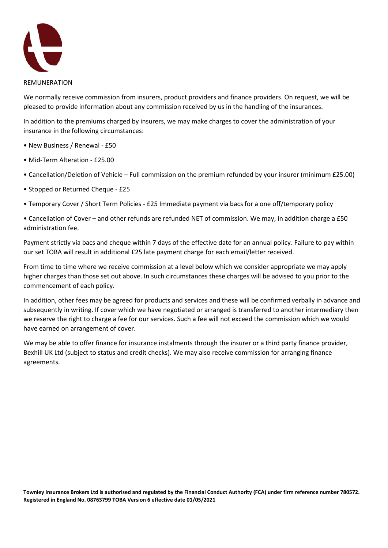

We normally receive commission from insurers, product providers and finance providers. On request, we will be pleased to provide information about any commission received by us in the handling of the insurances.

In addition to the premiums charged by insurers, we may make charges to cover the administration of your insurance in the following circumstances:

- New Business / Renewal £50
- Mid-Term Alteration £25.00
- Cancellation/Deletion of Vehicle Full commission on the premium refunded by your insurer (minimum £25.00)
- Stopped or Returned Cheque £25
- Temporary Cover / Short Term Policies £25 Immediate payment via bacs for a one off/temporary policy

• Cancellation of Cover – and other refunds are refunded NET of commission. We may, in addition charge a £50 administration fee.

Payment strictly via bacs and cheque within 7 days of the effective date for an annual policy. Failure to pay within our set TOBA will result in additional £25 late payment charge for each email/letter received.

From time to time where we receive commission at a level below which we consider appropriate we may apply higher charges than those set out above. In such circumstances these charges will be advised to you prior to the commencement of each policy.

In addition, other fees may be agreed for products and services and these will be confirmed verbally in advance and subsequently in writing. If cover which we have negotiated or arranged is transferred to another intermediary then we reserve the right to charge a fee for our services. Such a fee will not exceed the commission which we would have earned on arrangement of cover.

We may be able to offer finance for insurance instalments through the insurer or a third party finance provider, Bexhill UK Ltd (subject to status and credit checks). We may also receive commission for arranging finance agreements.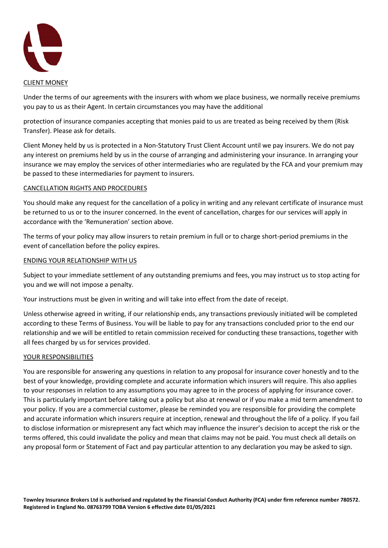

Under the terms of our agreements with the insurers with whom we place business, we normally receive premiums you pay to us as their Agent. In certain circumstances you may have the additional

protection of insurance companies accepting that monies paid to us are treated as being received by them (Risk Transfer). Please ask for details.

Client Money held by us is protected in a Non-Statutory Trust Client Account until we pay insurers. We do not pay any interest on premiums held by us in the course of arranging and administering your insurance. In arranging your insurance we may employ the services of other intermediaries who are regulated by the FCA and your premium may be passed to these intermediaries for payment to insurers.

## CANCELLATION RIGHTS AND PROCEDURES

You should make any request for the cancellation of a policy in writing and any relevant certificate of insurance must be returned to us or to the insurer concerned. In the event of cancellation, charges for our services will apply in accordance with the 'Remuneration' section above.

The terms of your policy may allow insurers to retain premium in full or to charge short-period premiums in the event of cancellation before the policy expires.

#### ENDING YOUR RELATIONSHIP WITH US

Subject to your immediate settlement of any outstanding premiums and fees, you may instruct us to stop acting for you and we will not impose a penalty.

Your instructions must be given in writing and will take into effect from the date of receipt.

Unless otherwise agreed in writing, if our relationship ends, any transactions previously initiated will be completed according to these Terms of Business. You will be liable to pay for any transactions concluded prior to the end our relationship and we will be entitled to retain commission received for conducting these transactions, together with all fees charged by us for services provided.

#### YOUR RESPONSIBILITIES

You are responsible for answering any questions in relation to any proposal for insurance cover honestly and to the best of your knowledge, providing complete and accurate information which insurers will require. This also applies to your responses in relation to any assumptions you may agree to in the process of applying for insurance cover. This is particularly important before taking out a policy but also at renewal or if you make a mid term amendment to your policy. If you are a commercial customer, please be reminded you are responsible for providing the complete and accurate information which insurers require at inception, renewal and throughout the life of a policy. If you fail to disclose information or misrepresent any fact which may influence the insurer's decision to accept the risk or the terms offered, this could invalidate the policy and mean that claims may not be paid. You must check all details on any proposal form or Statement of Fact and pay particular attention to any declaration you may be asked to sign.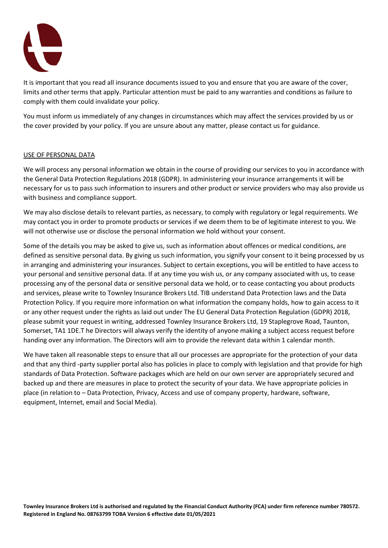

It is important that you read all insurance documents issued to you and ensure that you are aware of the cover, limits and other terms that apply. Particular attention must be paid to any warranties and conditions as failure to comply with them could invalidate your policy.

You must inform us immediately of any changes in circumstances which may affect the services provided by us or the cover provided by your policy. If you are unsure about any matter, please contact us for guidance.

## USE OF PERSONAL DATA

We will process any personal information we obtain in the course of providing our services to you in accordance with the General Data Protection Regulations 2018 (GDPR). In administering your insurance arrangements it will be necessary for us to pass such information to insurers and other product or service providers who may also provide us with business and compliance support.

We may also disclose details to relevant parties, as necessary, to comply with regulatory or legal requirements. We may contact you in order to promote products or services if we deem them to be of legitimate interest to you. We will not otherwise use or disclose the personal information we hold without your consent.

Some of the details you may be asked to give us, such as information about offences or medical conditions, are defined as sensitive personal data. By giving us such information, you signify your consent to it being processed by us in arranging and administering your insurances. Subject to certain exceptions, you will be entitled to have access to your personal and sensitive personal data. If at any time you wish us, or any company associated with us, to cease processing any of the personal data or sensitive personal data we hold, or to cease contacting you about products and services, please write to Townley Insurance Brokers Ltd. TIB understand Data Protection laws and the Data Protection Policy. If you require more information on what information the company holds, how to gain access to it or any other request under the rights as laid out under The EU General Data Protection Regulation (GDPR) 2018, please submit your request in writing, addressed Townley Insurance Brokers Ltd, 19 Staplegrove Road, Taunton, Somerset, TA1 1DE.T he Directors will always verify the identity of anyone making a subject access request before handing over any information. The Directors will aim to provide the relevant data within 1 calendar month.

We have taken all reasonable steps to ensure that all our processes are appropriate for the protection of your data and that any third -party supplier portal also has policies in place to comply with legislation and that provide for high standards of Data Protection. Software packages which are held on our own server are appropriately secured and backed up and there are measures in place to protect the security of your data. We have appropriate policies in place (in relation to – Data Protection, Privacy, Access and use of company property, hardware, software, equipment, Internet, email and Social Media).